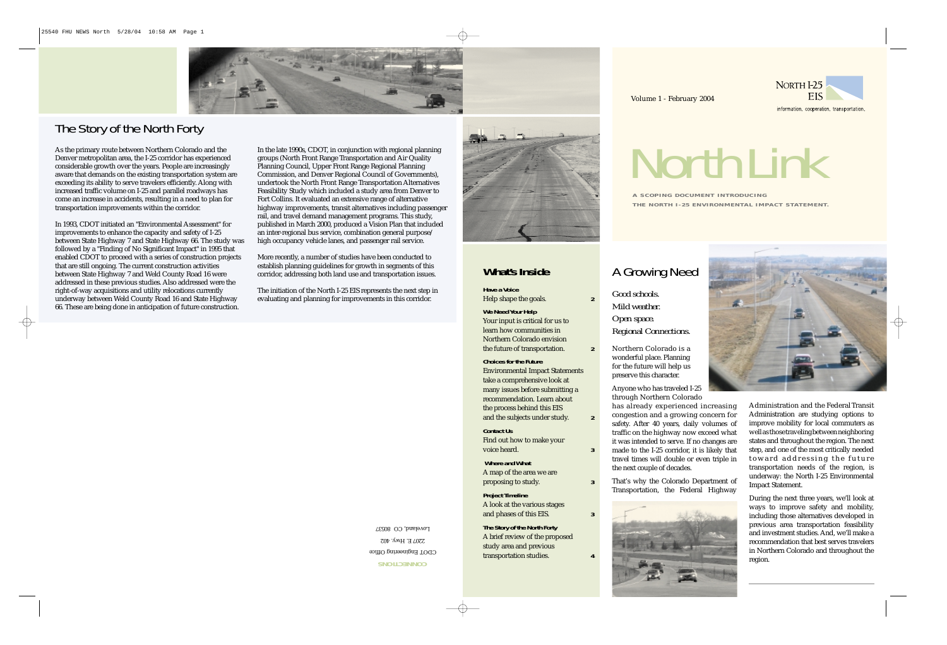# *NorthLink*





information. cooperation. transportation.

## **What's Inside**

**Have a Voice** Help shape the goals. **2**

**We Need Your Help**

Your input is critical for us to learn how communities in Northern Colorado envision the future of transportation. **2**

Find out how to make your voice heard. **3** 

## **Choices for the Future**

Environmental Impact Statements take a comprehensive look at many issues before submitting a recommendation. Learn about the process behind this EIS and the subjects under study. **2**

## **Contact Us**

**Where and What** A map of the area we are proposing to study. **3**

**Project Timeline** A look at the various stages and phases of this EIS. **3**

**The Story of the North Forty** A brief review of the proposed study area and previous transportation studies. **4**

## A Growing Need

- *Good schools. Mild weather. Open space. Regional Connections.*
- Northern Colorado is a wonderful place. Planning for the future will help us preserve this character.

Anyone who has traveled I-25 through Northern Colorado has already experienced increasing congestion and a growing concern for safety. After 40 years, daily volumes of traffic on the highway now exceed what it was intended to serve. If no changes are made to the I-25 corridor, it is likely that travel times will double or even triple in the next couple of decades.

That's why the Colorado Department of Transportation, the Federal Highway



Administration and the Federal Transit Administration are studying options to improve mobility for local commuters as wellasthosetravelingbetweenneighboring states and throughout the region. The next step, and one of the most critically needed toward addressing the future transportation needs of the region, is underway: the North I-25 Environmental Impact Statement.

During the next three years, we'll look at ways to improve safety and mobility, including those alternatives developed in previous area transportation feasibility and investment studies. And, we'll make a recommendation that best serves travelers in Northern Colorado and throughout the



CDOT Engineering Office 2207 E. Hwy. 402 Loveland, CO 80537

# The Story of the North Forty

**A SCOPING DOCUMENT INTRODUCING**  THE NORTH 1-25 ENVIRONMENTAL IMPACT STATEMENT.

As the primary route between Northern Colorado and the Denver metropolitan area, the I-25 corridor has experienced considerable growth over the years. People are increasingly aware that demands on the existing transportation system are exceeding its ability to serve travelers efficiently. Along with increased traffic volume on I-25 and parallel roadways has come an increase in accidents, resulting in a need to plan for transportation improvements within the corridor.

In 1993, CDOT initiated an "Environmental Assessment" for improvements to enhance the capacity and safety of I-25 between State Highway 7 and State Highway 66. The study was followed by a "Finding of No Significant Impact" in 1995 that enabled CDOT to proceed with a series of construction projects that are still ongoing. The current construction activities between State Highway 7 and Weld County Road 16 were addressed in these previous studies. Also addressed were the right-of-way acquisitions and utility relocations currently underway between Weld County Road 16 and State Highway 66. These are being done in anticipation of future construction.

In the late 1990s, CDOT, in conjunction with regional planning groups (North Front Range Transportation and Air Quality Planning Council, Upper Front Range Regional Planning Commission, and Denver Regional Council of Governments), undertook the North Front Range Transportation Alternatives Feasibility Study which included a study area from Denver to Fort Collins. It evaluated an extensive range of alternative highway improvements, transit alternatives including passenger rail, and travel demand management programs. This study, published in March 2000, produced a Vision Plan that included an inter-regional bus service, combination general purpose/ high occupancy vehicle lanes, and passenger rail service.

More recently, a number of studies have been conducted to establish planning guidelines for growth in segments of this corridor, addressing both land use and transportation issues.

The initiation of the North I-25 EIS represents the next step in evaluating and planning for improvements in this corridor.